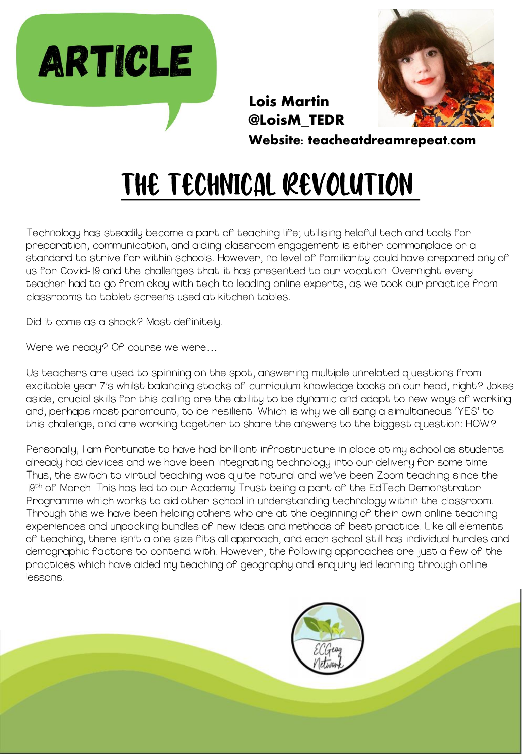



Lois Martin @LoisM\_TEDR

Website: teacheatdreamrepeat.com

# The Technical Revolution

Technology has steadily become a part of teaching life; utilising helpful tech and tools for preparation, communication, and aiding classroom engagement is either commonplace or a standard to strive for within schools. However, no level of familiarity could have prepared any of us for Covid-19 and the challenges that it has presented to our vocation. Overnight every teacher had to go from okay with tech to leading online experts, as we took our practice from classrooms to tablet screens used at kitchen tables.

Did it come as a shock? Most definitely.

Were we ready? Of course we were…

Us teachers are used to spinning on the spot, answering multiple unrelated questions from excitable year 7's whilst balancing stacks of curriculum knowledge books on our head, right? Jokes aside, crucial skills for this calling are the ability to be dynamic and adapt to new ways of working and, perhaps most paramount, to be resilient. Which is why we all sang a simultaneous 'YES' to this challenge, and are working together to share the answers to the biggest question: HOW?

Personally, I am fortunate to have had brilliant infrastructure in place at my school as students already had devices and we have been integrating technology into our delivery for some time. Thus, the switch to virtual teaching was quite natural and we've been Zoom teaching since the 19th of Manch. This has led to our Academy Trust being a part of the EdTech Demonstrator Programme which works to aid other school in understanding technology within the classroom. Through this we have been helping others who are at the beginning of their own online teaching experiences and unpacking bundles of new ideas and methods of best practice. Like all elements of teaching, there isn't a one size fits all approach, and each school still has individual hurdles and demographic factors to contend with. However, the following approaches are just a few of the practices which have aided my teaching of geography and enquiry led learning through online lessons.

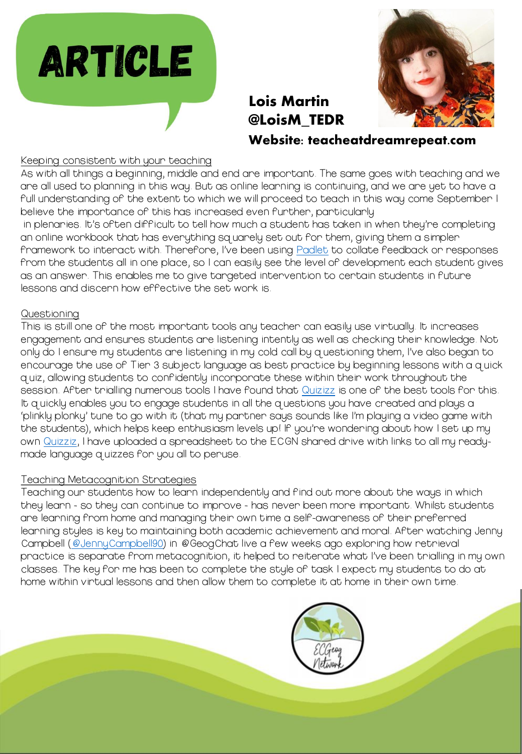



## Lois Martin @LoisM\_TEDR

Website: teacheatdreamrepeat.com

#### Keeping consistent with your teaching

As with all things a beginning, middle and end are important. The same goes with teaching and we are all used to planning in this way. But as online learning is continuing, and we are yet to have a full understanding of the extent to which we will proceed to teach in this way come September I believe the importance of this has increased even further, particularly

in plenaries. It's often difficult to tell how much a student has taken in when they're completing an online workbook that has everything squarely set out for them, giving them a simpler framework to interact with. Therefore, I've been using [Padlet](https://padlet.com/) to collate feedback or responses from the students all in one place, so I can easily see the level of development each student gives as an answer. This enables me to give targeted intervention to certain students in future lessons and discern how effective the set work is.

#### Questioning

This is still one of the most important tools any teacher can easily use virtually. It increases engagement and ensures students are listening intently as well as checking their knowledge. Not only do I ensure my students are listening in my cold call by questioning them, I've also began to encourage the use of Tier 3 subject language as best practice by beginning lessons with a quick quiz, allowing students to confidently incorporate these within their work throughout the session. After trialling numerous tools I have found that [Quizizz](http://www.quizziz.com/) is one of the best tools for this. It quickly enables you to engage students in all the questions you have created and plays a 'plinkly plonky' tune to go with it (that my partner says sounds like I'm playing a video game with the students), which helps keep enthusiasm levels up! If you're wondering about how I set up my own [Quizziz,](http://www.quizziz.com/) I have uploaded a spreadsheet to the ECGN shared drive with links to all my readymade language quizzes for you all to peruse.

#### Teaching Metacognition Strategies

Teaching our students how to learn independently and find out more about the ways in which they learn - so they can continue to improve - has never been more important. Whilst students are learning from home and managing their own time a self-awareness of their preferred learning styles is key to maintaining both academic achievement and moral. After watching Jenny Campbell ([@JennyCampbell90](https://twitter.com/JennyCampbell90)) in @GeogChat live a few weeks ago exploring how retrieval practice is separate from metacognition, it helped to reiterate what I've been trialling in my own classes. The key for me has been to complete the style of task I expect my students to do at home within virtual lessons and then allow them to complete it at home in their own time.